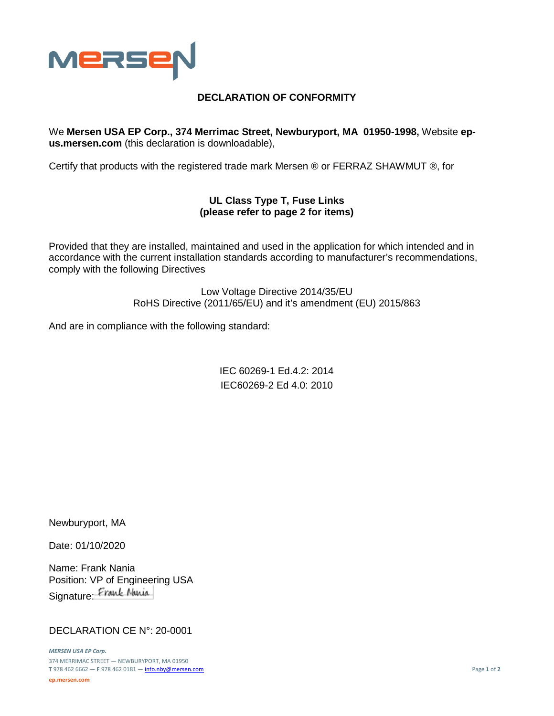

## **DECLARATION OF CONFORMITY**

We **Mersen USA EP Corp., 374 Merrimac Street, Newburyport, MA 01950-1998,** Website **epus.mersen.com** (this declaration is downloadable),

Certify that products with the registered trade mark Mersen ® or FERRAZ SHAWMUT ®, for

## **UL Class Type T, Fuse Links (please refer to page 2 for items)**

Provided that they are installed, maintained and used in the application for which intended and in accordance with the current installation standards according to manufacturer's recommendations, comply with the following Directives

> Low Voltage Directive 2014/35/EU RoHS Directive (2011/65/EU) and it's amendment (EU) 2015/863

And are in compliance with the following standard:

IEC 60269-1 Ed.4.2: 2014 IEC60269-2 Ed 4.0: 2010

Newburyport, MA

Date: 01/10/2020

Name: Frank Nania Position: VP of Engineering USA Signature: Frank Nania

## DECLARATION CE N°: 20-0001

*MERSEN USA EP Corp.* 374 MERRIMAC STREET — NEWBURYPORT, MA 01950 **T** 978 462 6662 — **F** 978 462 0181 — [info.nby@mersen.com](mailto:info.nby@mersen.com) Page **1** of **2 ep.mersen.com**